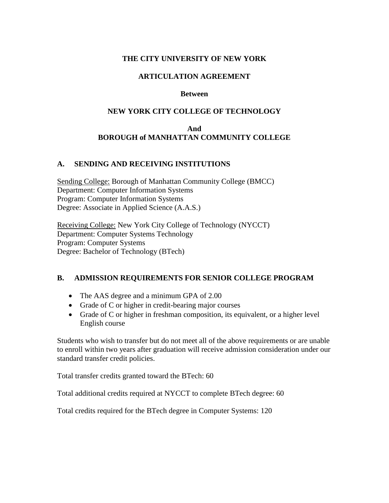#### **THE CITY UNIVERSITY OF NEW YORK**

### **ARTICULATION AGREEMENT**

#### **Between**

### **NEW YORK CITY COLLEGE OF TECHNOLOGY**

## **And BOROUGH of MANHATTAN COMMUNITY COLLEGE**

#### **A. SENDING AND RECEIVING INSTITUTIONS**

Sending College: Borough of Manhattan Community College (BMCC) Department: Computer Information Systems Program: Computer Information Systems Degree: Associate in Applied Science (A.A.S.)

Receiving College: New York City College of Technology (NYCCT) Department: Computer Systems Technology Program: Computer Systems Degree: Bachelor of Technology (BTech)

## **B. ADMISSION REQUIREMENTS FOR SENIOR COLLEGE PROGRAM**

- The AAS degree and a minimum GPA of 2.00
- Grade of C or higher in credit-bearing major courses
- Grade of C or higher in freshman composition, its equivalent, or a higher level English course

Students who wish to transfer but do not meet all of the above requirements or are unable to enroll within two years after graduation will receive admission consideration under our standard transfer credit policies.

Total transfer credits granted toward the BTech: 60

Total additional credits required at NYCCT to complete BTech degree: 60

Total credits required for the BTech degree in Computer Systems: 120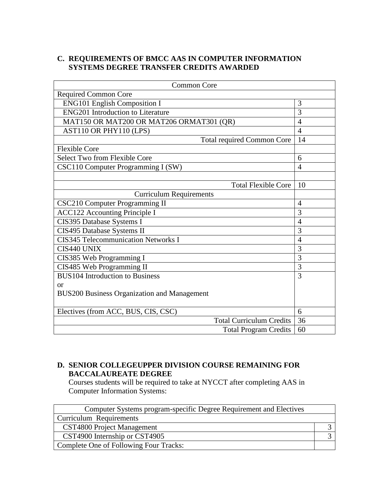## **C. REQUIREMENTS OF BMCC AAS IN COMPUTER INFORMATION SYSTEMS DEGREE TRANSFER CREDITS AWARDED**

| <b>Common Core</b>                                 |                |
|----------------------------------------------------|----------------|
| <b>Required Common Core</b>                        |                |
| <b>ENG101 English Composition I</b>                | 3              |
| <b>ENG201</b> Introduction to Literature           | 3              |
| MAT150 OR MAT200 OR MAT206 ORMAT301 (QR)           | $\overline{4}$ |
| AST110 OR PHY110 (LPS)                             | $\overline{4}$ |
| <b>Total required Common Core</b>                  | 14             |
| <b>Flexible Core</b>                               |                |
| Select Two from Flexible Core                      | 6              |
| CSC110 Computer Programming I (SW)                 | 4              |
|                                                    |                |
| <b>Total Flexible Core</b>                         | 10             |
| <b>Curriculum Requirements</b>                     |                |
| <b>CSC210 Computer Programming II</b>              | 4              |
| <b>ACC122 Accounting Principle I</b>               | 3              |
| CIS395 Database Systems I                          | $\overline{4}$ |
| CIS495 Database Systems II                         | $\overline{3}$ |
| <b>CIS345 Telecommunication Networks I</b>         | $\overline{4}$ |
| CIS440 UNIX                                        | $\overline{3}$ |
| CIS385 Web Programming I                           | $\overline{3}$ |
| CIS485 Web Programming II                          | $\overline{3}$ |
| <b>BUS104</b> Introduction to Business             | 3              |
| $\alpha$                                           |                |
| <b>BUS200 Business Organization and Management</b> |                |
|                                                    |                |
| Electives (from ACC, BUS, CIS, CSC)                | 6              |
| <b>Total Curriculum Credits</b>                    | 36             |
| <b>Total Program Credits</b>                       | 60             |

# **D. SENIOR COLLEGEUPPER DIVISION COURSE REMAINING FOR BACCALAUREATE DEGREE**

Courses students will be required to take at NYCCT after completing AAS in Computer Information Systems:

| Computer Systems program-specific Degree Requirement and Electives |  |
|--------------------------------------------------------------------|--|
| Curriculum Requirements                                            |  |
| CST4800 Project Management                                         |  |
| CST4900 Internship or CST4905                                      |  |
| Complete One of Following Four Tracks:                             |  |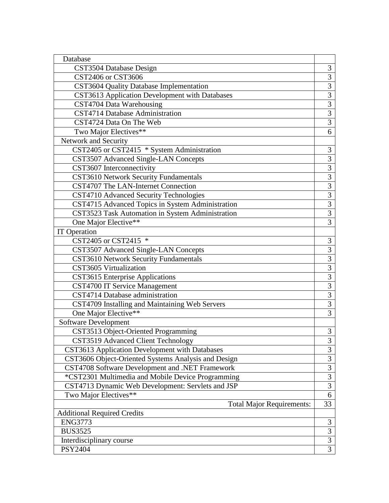| Database                                            |                |
|-----------------------------------------------------|----------------|
| CST3504 Database Design                             | 3              |
| CST2406 or CST3606                                  | 3              |
| CST3604 Quality Database Implementation             | 3              |
| CST3613 Application Development with Databases      | $\overline{3}$ |
| CST4704 Data Warehousing                            | 3              |
| CST4714 Database Administration                     | $\overline{3}$ |
| CST4724 Data On The Web                             | $\overline{3}$ |
| Two Major Electives**                               | 6              |
| Network and Security                                |                |
| CST2405 or CST2415 * System Administration          | 3              |
| CST3507 Advanced Single-LAN Concepts                | $\overline{3}$ |
| CST3607 Interconnectivity                           | $\overline{3}$ |
| CST3610 Network Security Fundamentals               | $\overline{3}$ |
| CST4707 The LAN-Internet Connection                 | $\overline{3}$ |
| CST4710 Advanced Security Technologies              | $\overline{3}$ |
| CST4715 Advanced Topics in System Administration    | $\overline{3}$ |
| CST3523 Task Automation in System Administration    | $\overline{3}$ |
| One Major Elective**                                | 3              |
| <b>IT</b> Operation                                 |                |
| CST2405 or CST2415 *                                | 3              |
| CST3507 Advanced Single-LAN Concepts                | $\overline{3}$ |
| CST3610 Network Security Fundamentals               | $\overline{3}$ |
| CST3605 Virtualization                              | $\overline{3}$ |
| <b>CST3615</b> Enterprise Applications              | $\overline{3}$ |
| <b>CST4700 IT Service Management</b>                | $\overline{3}$ |
| CST4714 Database administration                     | $\overline{3}$ |
| CST4709 Installing and Maintaining Web Servers      | $\overline{3}$ |
| One Major Elective**                                | 3              |
| <b>Software Development</b>                         |                |
| CST3513 Object-Oriented Programming                 | 3              |
| CST3519 Advanced Client Technology                  | $\mathfrak{Z}$ |
| CST3613 Application Development with Databases      | $\mathfrak{Z}$ |
| CST3606 Object-Oriented Systems Analysis and Design | $\overline{3}$ |
| CST4708 Software Development and .NET Framework     | $\overline{3}$ |
| *CST2301 Multimedia and Mobile Device Programming   | 3              |
| CST4713 Dynamic Web Development: Servlets and JSP   | 3              |
| Two Major Electives**                               | $\overline{6}$ |
| <b>Total Major Requirements:</b>                    | 33             |
| <b>Additional Required Credits</b>                  |                |
| <b>ENG3773</b>                                      | 3              |
| <b>BUS3525</b>                                      | 3              |
| Interdisciplinary course                            | $\overline{3}$ |
| PSY2404                                             | $\overline{3}$ |